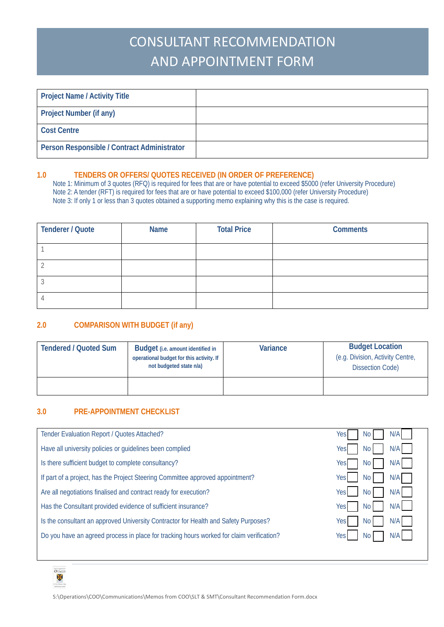# CONSULTANT RECOMMENDATION AND APPOINTMENT FORM

| <b>Project Name / Activity Title</b>        |  |
|---------------------------------------------|--|
| <b>Project Number (if any)</b>              |  |
| <b>Cost Centre</b>                          |  |
| Person Responsible / Contract Administrator |  |

#### **1.0 TENDERS OR OFFERS/ QUOTES RECEIVED (IN ORDER OF PREFERENCE)**

Note 1: Minimum of 3 quotes (RFQ) is required for fees that are or have potential to exceed \$5000 (refer University Procedure) Note 2: A tender (RFT) is required for fees that are or have potential to exceed \$100,000 (refer University Procedure) Note 3: If only 1 or less than 3 quotes obtained a supporting memo explaining why this is the case is required.

| <b>Tenderer / Quote</b> | <b>Name</b> | <b>Total Price</b> | <b>Comments</b> |
|-------------------------|-------------|--------------------|-----------------|
|                         |             |                    |                 |
|                         |             |                    |                 |
|                         |             |                    |                 |
|                         |             |                    |                 |

## **2.0 COMPARISON WITH BUDGET (if any)**

| <b>Tendered / Quoted Sum</b> | <b>Budget</b> (i.e. amount identified in<br>operational budget for this activity. If<br>not budgeted state n/a) | Variance | <b>Budget Location</b><br>(e.g. Division, Activity Centre,<br><b>Dissection Code)</b> |
|------------------------------|-----------------------------------------------------------------------------------------------------------------|----------|---------------------------------------------------------------------------------------|
|                              |                                                                                                                 |          |                                                                                       |

## **3.0 PRE-APPOINTMENT CHECKLIST**

| Tender Evaluation Report / Quotes Attached?                                              | N/A<br>Yes<br>No I     |
|------------------------------------------------------------------------------------------|------------------------|
| Have all university policies or guidelines been complied                                 | N/A<br>Yes<br>No I     |
| Is there sufficient budget to complete consultancy?                                      | N/A I<br>Yes<br>No I   |
| If part of a project, has the Project Steering Committee approved appointment?           | N/A<br>No I<br>Yesl    |
| Are all negotiations finalised and contract ready for execution?                         | N/A<br>No I<br>Yesl    |
| Has the Consultant provided evidence of sufficient insurance?                            | $N/A$  <br>Yes<br>No I |
| Is the consultant an approved University Contractor for Health and Safety Purposes?      | N/A I<br>No I<br>Yes   |
| Do you have an agreed process in place for tracking hours worked for claim verification? | N/A<br>Yesl<br>No.     |
|                                                                                          |                        |